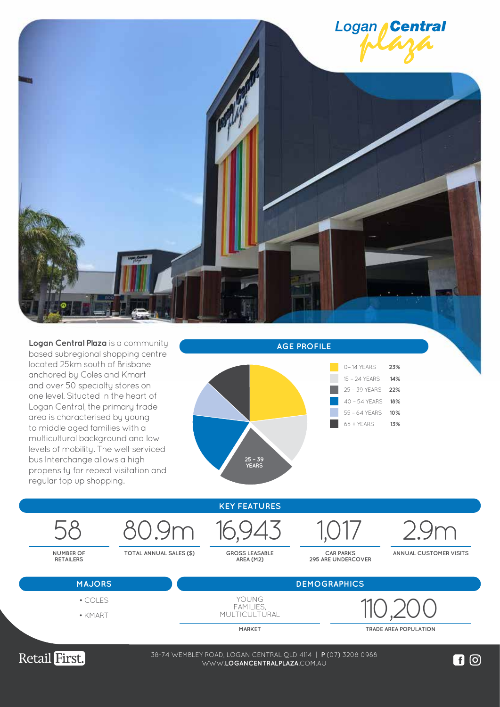

**Logan Central Plaza** is a community based subregional shopping centre located 25km south of Brisbane anchored by Coles and Kmart and over 50 specialty stores on one level. Situated in the heart of Logan Central, the primary trade area is characterised by young to middle aged families with a multicultural background and low levels of mobility. The well-serviced bus Interchange allows a high propensity for repeat visitation and regular top up shopping.









• KMART

**MARKET TRADE AREA POPULATION**



38-74 WEMBLEY ROAD, LOGAN CENTRAL QLD 4114 | **P** (07) 3208 0988 WWW.**LOGANCENTRALPLAZA**.COM.AU